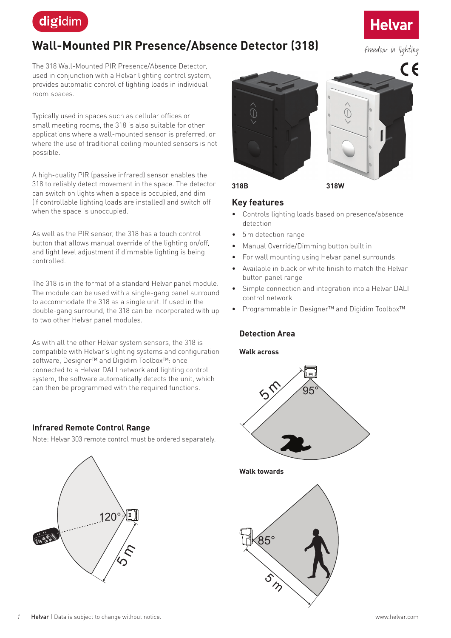

# **Wall-Mounted PIR Presence/Absence Detector (318)**

The 318 Wall-Mounted PIR Presence/Absence Detector, used in conjunction with a Helvar lighting control system, provides automatic control of lighting loads in individual room spaces.

Typically used in spaces such as cellular offices or small meeting rooms, the 318 is also suitable for other applications where a wall-mounted sensor is preferred, or where the use of traditional ceiling mounted sensors is not possible.

A high-quality PIR (passive infrared) sensor enables the 318 to reliably detect movement in the space. The detector can switch on lights when a space is occupied, and dim (if controllable lighting loads are installed) and switch off when the space is unoccupied.

As well as the PIR sensor, the 318 has a touch control button that allows manual override of the lighting on/off, and light level adjustment if dimmable lighting is being controlled.

The 318 is in the format of a standard Helvar panel module. The module can be used with a single-gang panel surround to accommodate the 318 as a single unit. If used in the double-gang surround, the 318 can be incorporated with up to two other Helvar panel modules.

As with all the other Helvar system sensors, the 318 is compatible with Helvar's lighting systems and configuration software, Designer™ and Digidim Toolbox™: once connected to a Helvar DALI network and lighting control system, the software automatically detects the unit, which can then be programmed with the required functions.

#### **Infrared Remote Control Range**

Note: Helvar 303 remote control must be ordered separately.





#### **Key features**

- Controls lighting loads based on presence/absence detection
- 5m detection range
- Manual Override/Dimming button built in
- For wall mounting using Helvar panel surrounds
- Available in black or white finish to match the Helvar button panel range
- Simple connection and integration into a Helvar DALI control network
- Programmable in Designer™ and Digidim Toolbox™

## **Detection Area**

#### **Walk across**



**Walk towards**





freedom in lighting